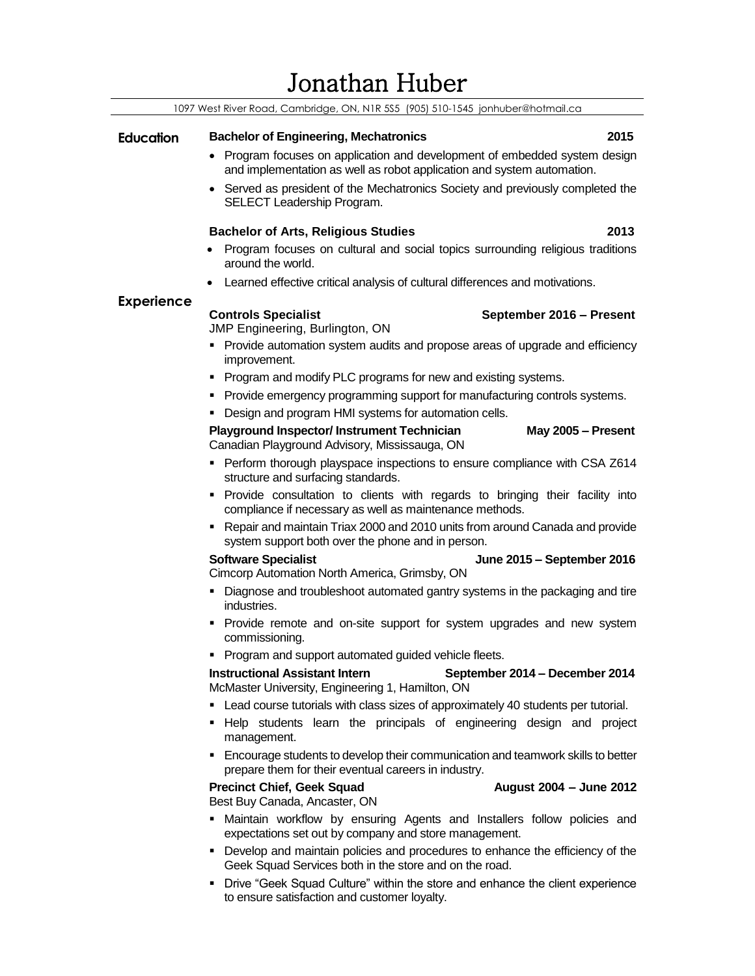## Jonathan Huber

| <u>JOHANIAII TIUDU</u> I                                                        |                                                                                                                                                      |  |
|---------------------------------------------------------------------------------|------------------------------------------------------------------------------------------------------------------------------------------------------|--|
| 1097 West River Road, Cambridge, ON, N1R 5S5 (905) 510-1545 jonhuber@hotmail.ca |                                                                                                                                                      |  |
| <b>Education</b>                                                                | 2015<br><b>Bachelor of Engineering, Mechatronics</b>                                                                                                 |  |
|                                                                                 | • Program focuses on application and development of embedded system design<br>and implementation as well as robot application and system automation. |  |
|                                                                                 | • Served as president of the Mechatronics Society and previously completed the<br>SELECT Leadership Program.                                         |  |
|                                                                                 | <b>Bachelor of Arts, Religious Studies</b><br>2013                                                                                                   |  |
|                                                                                 | Program focuses on cultural and social topics surrounding religious traditions<br>around the world.                                                  |  |
|                                                                                 | Learned effective critical analysis of cultural differences and motivations.                                                                         |  |
| <b>Experience</b>                                                               | <b>Controls Specialist</b><br>September 2016 - Present<br>JMP Engineering, Burlington, ON                                                            |  |
|                                                                                 | • Provide automation system audits and propose areas of upgrade and efficiency<br>improvement.                                                       |  |
|                                                                                 | • Program and modify PLC programs for new and existing systems.                                                                                      |  |
|                                                                                 | • Provide emergency programming support for manufacturing controls systems.                                                                          |  |
|                                                                                 | • Design and program HMI systems for automation cells.                                                                                               |  |
|                                                                                 | <b>Playground Inspector/Instrument Technician</b><br>May 2005 - Present<br>Canadian Playground Advisory, Mississauga, ON                             |  |
|                                                                                 | • Perform thorough playspace inspections to ensure compliance with CSA Z614<br>structure and surfacing standards.                                    |  |
|                                                                                 | · Provide consultation to clients with regards to bringing their facility into<br>compliance if necessary as well as maintenance methods.            |  |
|                                                                                 | • Repair and maintain Triax 2000 and 2010 units from around Canada and provide<br>system support both over the phone and in person.                  |  |
|                                                                                 | <b>Software Specialist</b><br>June 2015 - September 2016<br>Cimcorp Automation North America, Grimsby, ON                                            |  |
|                                                                                 | Diagnose and troubleshoot automated gantry systems in the packaging and tire<br>industries.                                                          |  |
|                                                                                 | Provide remote and on-site support for system upgrades and new system<br>commissioning.                                                              |  |
|                                                                                 | Program and support automated guided vehicle fleets.                                                                                                 |  |
|                                                                                 | <b>Instructional Assistant Intern</b><br>September 2014 - December 2014<br>McMaster University, Engineering 1, Hamilton, ON                          |  |
|                                                                                 | • Lead course tutorials with class sizes of approximately 40 students per tutorial.                                                                  |  |
|                                                                                 | Help students learn the principals of engineering design and project<br>management.                                                                  |  |
|                                                                                 | • Encourage students to develop their communication and teamwork skills to better<br>prepare them for their eventual careers in industry.            |  |
|                                                                                 | <b>Precinct Chief, Geek Squad</b><br>August 2004 - June 2012<br>Best Buy Canada, Ancaster, ON                                                        |  |
|                                                                                 | . Maintain workflow by ensuring Agents and Installers follow policies and<br>expectations set out by company and store management.                   |  |
|                                                                                 | • Develop and maintain policies and procedures to enhance the efficiency of the<br>Geek Squad Services both in the store and on the road.            |  |

■ Drive "Geek Squad Culture" within the store and enhance the client experience to ensure satisfaction and customer loyalty.